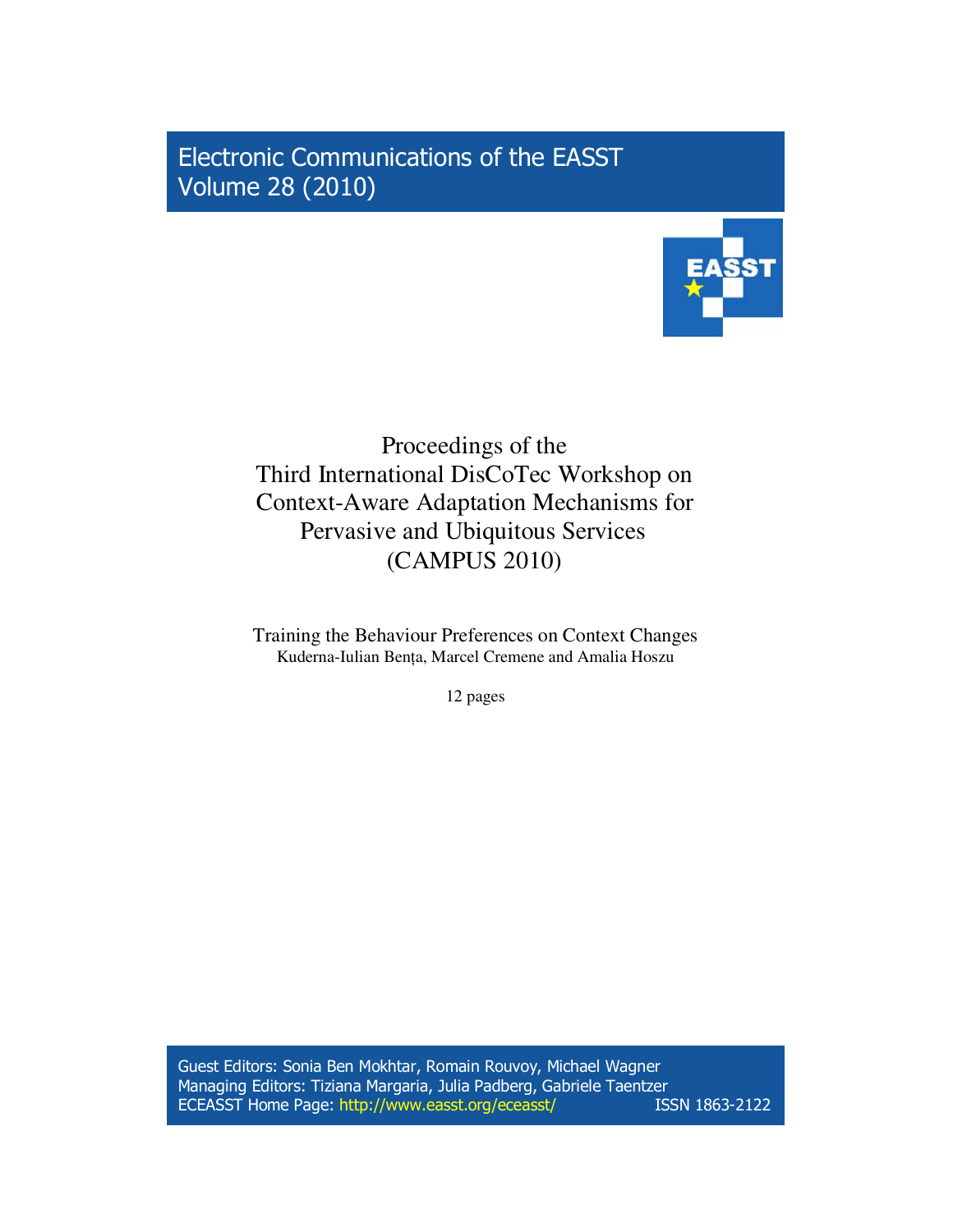Electronic Communications of the EASST Volume 28 (2010)



# Proceedings of the Third International DisCoTec Workshop on Context-Aware Adaptation Mechanisms for Pervasive and Ubiquitous Services (CAMPUS 2010)

Training the Behaviour Preferences on Context Changes Kuderna-Iulian Benţa, Marcel Cremene and Amalia Hoszu

12 pages

Guest Editors: Sonia Ben Mokhtar, Romain Rouvoy, Michael Wagner Managing Editors: Tiziana Margaria, Julia Padberg, Gabriele Taentzer ECEASST Home Page: http://www.easst.org/eceasst/ ISSN 1863-2122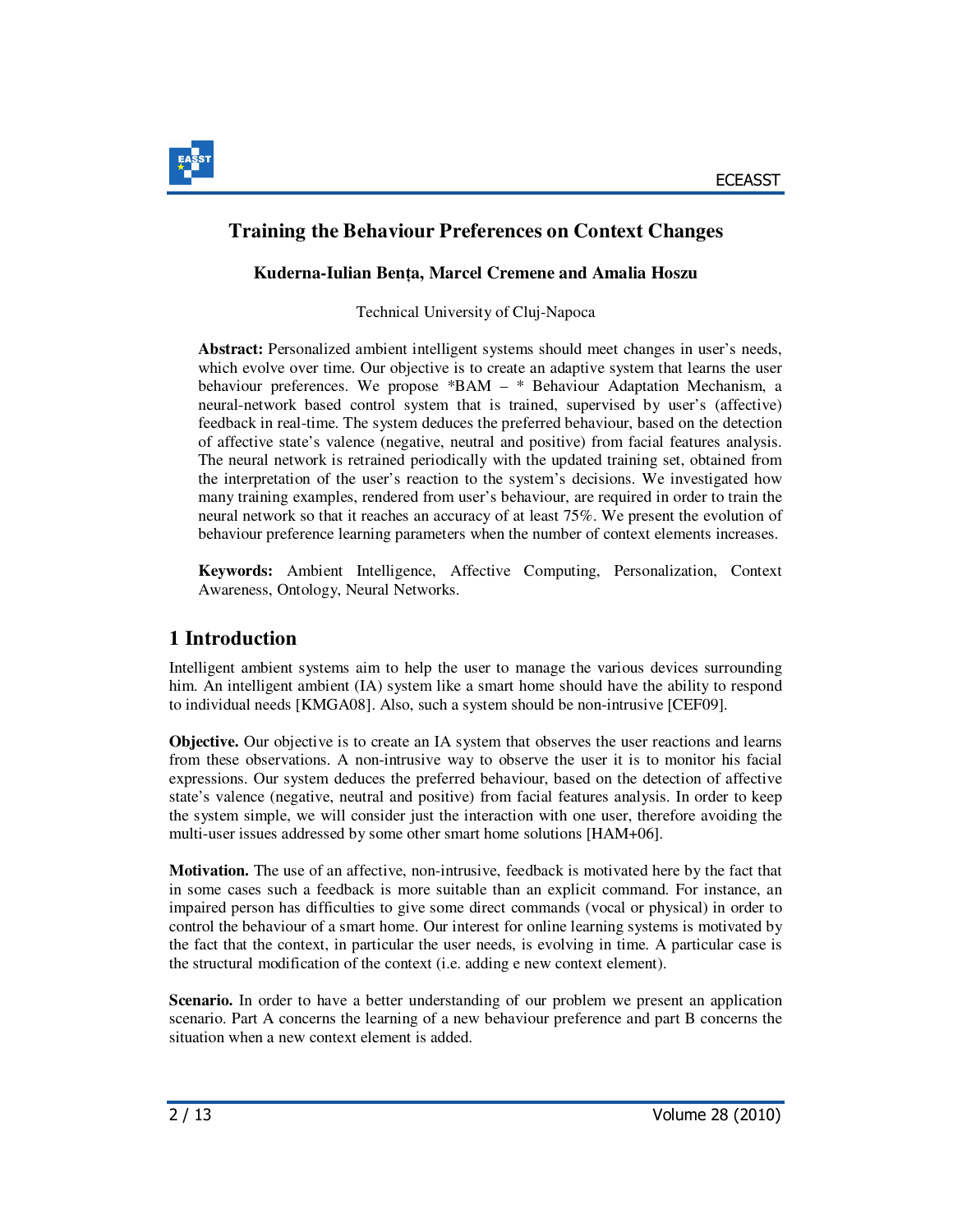

### **Kuderna-Iulian Ben**ţ**a, Marcel Cremene and Amalia Hoszu**

Technical University of Cluj-Napoca

**Abstract:** Personalized ambient intelligent systems should meet changes in user's needs, which evolve over time. Our objective is to create an adaptive system that learns the user behaviour preferences. We propose \*BAM – \* Behaviour Adaptation Mechanism, a neural-network based control system that is trained, supervised by user's (affective) feedback in real-time. The system deduces the preferred behaviour, based on the detection of affective state's valence (negative, neutral and positive) from facial features analysis. The neural network is retrained periodically with the updated training set, obtained from the interpretation of the user's reaction to the system's decisions. We investigated how many training examples, rendered from user's behaviour, are required in order to train the neural network so that it reaches an accuracy of at least 75%. We present the evolution of behaviour preference learning parameters when the number of context elements increases.

**Keywords:** Ambient Intelligence, Affective Computing, Personalization, Context Awareness, Ontology, Neural Networks.

## **1 Introduction**

Intelligent ambient systems aim to help the user to manage the various devices surrounding him. An intelligent ambient (IA) system like a smart home should have the ability to respond to individual needs [KMGA08]. Also, such a system should be non-intrusive [CEF09].

**Objective.** Our objective is to create an IA system that observes the user reactions and learns from these observations. A non-intrusive way to observe the user it is to monitor his facial expressions. Our system deduces the preferred behaviour, based on the detection of affective state's valence (negative, neutral and positive) from facial features analysis. In order to keep the system simple, we will consider just the interaction with one user, therefore avoiding the multi-user issues addressed by some other smart home solutions [HAM+06].

**Motivation.** The use of an affective, non-intrusive, feedback is motivated here by the fact that in some cases such a feedback is more suitable than an explicit command. For instance, an impaired person has difficulties to give some direct commands (vocal or physical) in order to control the behaviour of a smart home. Our interest for online learning systems is motivated by the fact that the context, in particular the user needs, is evolving in time. A particular case is the structural modification of the context (i.e. adding e new context element).

**Scenario.** In order to have a better understanding of our problem we present an application scenario. Part A concerns the learning of a new behaviour preference and part B concerns the situation when a new context element is added.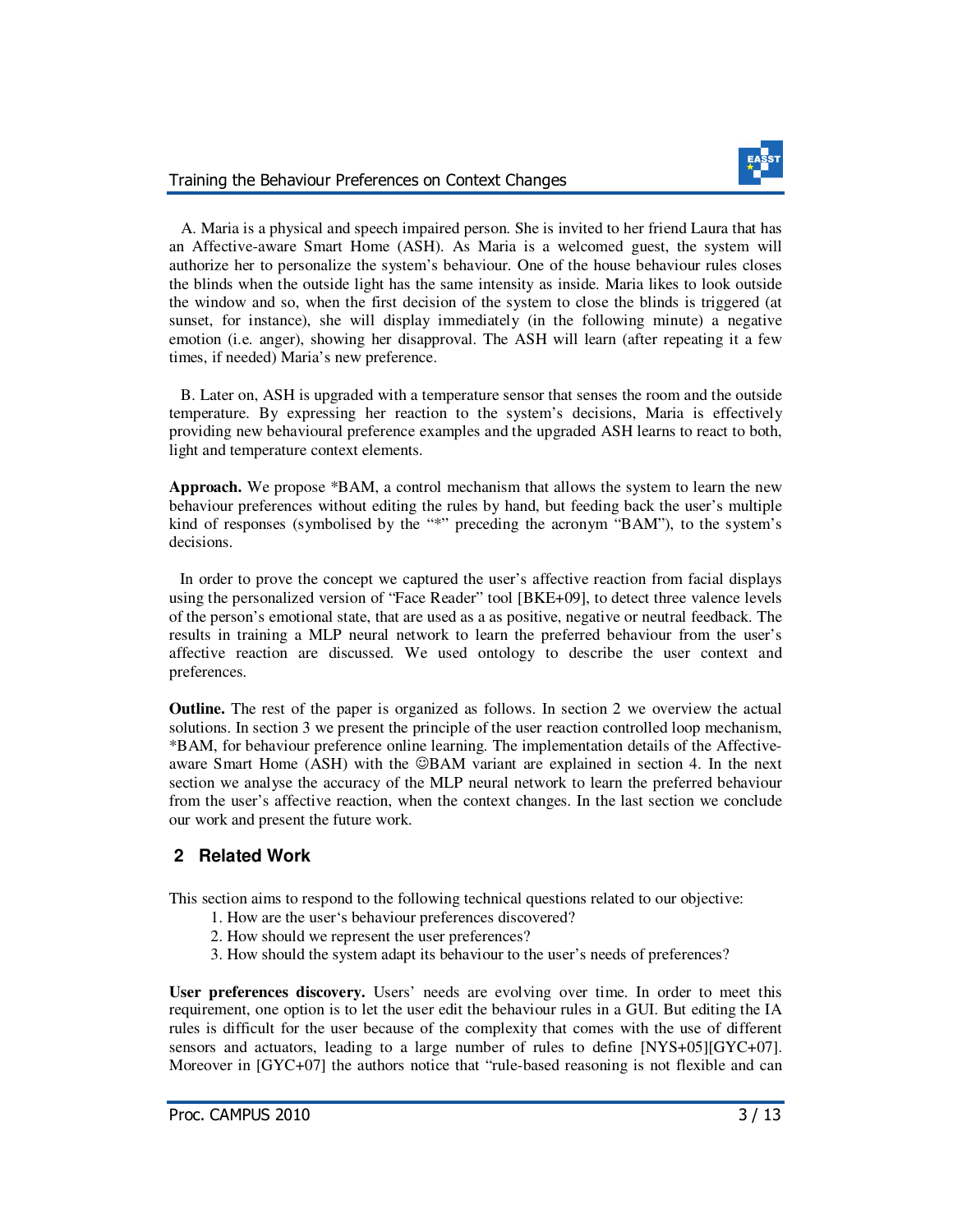



 A. Maria is a physical and speech impaired person. She is invited to her friend Laura that has an Affective-aware Smart Home (ASH). As Maria is a welcomed guest, the system will authorize her to personalize the system's behaviour. One of the house behaviour rules closes the blinds when the outside light has the same intensity as inside. Maria likes to look outside the window and so, when the first decision of the system to close the blinds is triggered (at sunset, for instance), she will display immediately (in the following minute) a negative emotion (i.e. anger), showing her disapproval. The ASH will learn (after repeating it a few times, if needed) Maria's new preference.

 B. Later on, ASH is upgraded with a temperature sensor that senses the room and the outside temperature. By expressing her reaction to the system's decisions, Maria is effectively providing new behavioural preference examples and the upgraded ASH learns to react to both, light and temperature context elements.

**Approach.** We propose \*BAM, a control mechanism that allows the system to learn the new behaviour preferences without editing the rules by hand, but feeding back the user's multiple kind of responses (symbolised by the "\*" preceding the acronym "BAM"), to the system's decisions.

 In order to prove the concept we captured the user's affective reaction from facial displays using the personalized version of "Face Reader" tool [BKE+09], to detect three valence levels of the person's emotional state, that are used as a as positive, negative or neutral feedback. The results in training a MLP neural network to learn the preferred behaviour from the user's affective reaction are discussed. We used ontology to describe the user context and preferences.

**Outline.** The rest of the paper is organized as follows. In section 2 we overview the actual solutions. In section 3 we present the principle of the user reaction controlled loop mechanism, \*BAM, for behaviour preference online learning. The implementation details of the Affectiveaware Smart Home (ASH) with the ©BAM variant are explained in section 4. In the next section we analyse the accuracy of the MLP neural network to learn the preferred behaviour from the user's affective reaction, when the context changes. In the last section we conclude our work and present the future work.

### **2 Related Work**

This section aims to respond to the following technical questions related to our objective:

- 1. How are the user's behaviour preferences discovered?
- 2. How should we represent the user preferences?
- 3. How should the system adapt its behaviour to the user's needs of preferences?

**User preferences discovery.** Users' needs are evolving over time. In order to meet this requirement, one option is to let the user edit the behaviour rules in a GUI. But editing the IA rules is difficult for the user because of the complexity that comes with the use of different sensors and actuators, leading to a large number of rules to define [NYS+05][GYC+07]. Moreover in [GYC+07] the authors notice that "rule-based reasoning is not flexible and can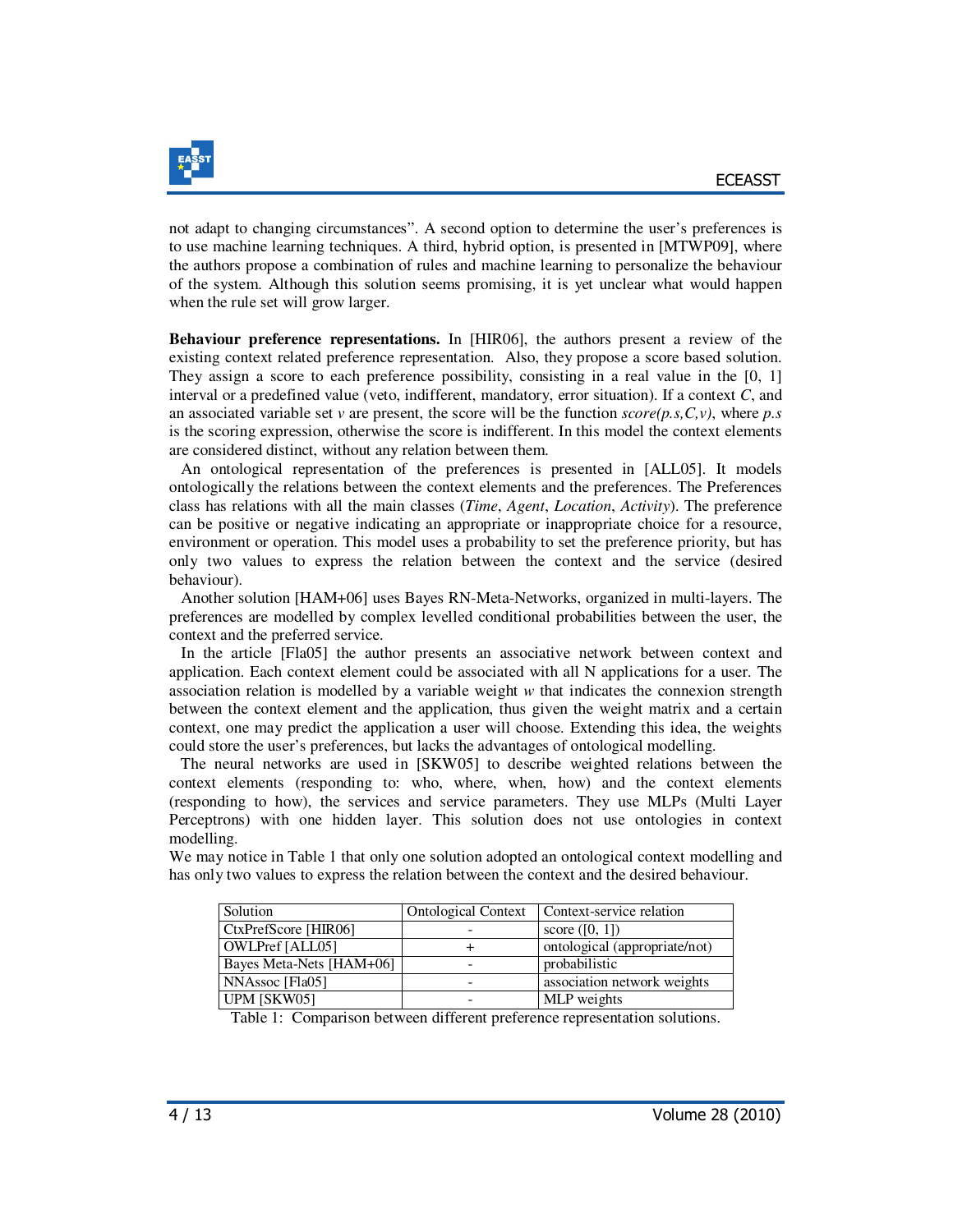

not adapt to changing circumstances". A second option to determine the user's preferences is to use machine learning techniques. A third, hybrid option, is presented in [MTWP09], where the authors propose a combination of rules and machine learning to personalize the behaviour of the system. Although this solution seems promising, it is yet unclear what would happen when the rule set will grow larger.

**Behaviour preference representations.** In [HIR06], the authors present a review of the existing context related preference representation. Also, they propose a score based solution. They assign a score to each preference possibility, consisting in a real value in the [0, 1] interval or a predefined value (veto, indifferent, mandatory, error situation). If a context *C*, and an associated variable set *v* are present, the score will be the function *score(p.s,C,v)*, where *p.s* is the scoring expression, otherwise the score is indifferent. In this model the context elements are considered distinct, without any relation between them.

 An ontological representation of the preferences is presented in [ALL05]. It models ontologically the relations between the context elements and the preferences. The Preferences class has relations with all the main classes (*Time*, *Agent*, *Location*, *Activity*). The preference can be positive or negative indicating an appropriate or inappropriate choice for a resource, environment or operation. This model uses a probability to set the preference priority, but has only two values to express the relation between the context and the service (desired behaviour).

 Another solution [HAM+06] uses Bayes RN-Meta-Networks, organized in multi-layers. The preferences are modelled by complex levelled conditional probabilities between the user, the context and the preferred service.

 In the article [Fla05] the author presents an associative network between context and application. Each context element could be associated with all N applications for a user. The association relation is modelled by a variable weight *w* that indicates the connexion strength between the context element and the application, thus given the weight matrix and a certain context, one may predict the application a user will choose. Extending this idea, the weights could store the user's preferences, but lacks the advantages of ontological modelling.

 The neural networks are used in [SKW05] to describe weighted relations between the context elements (responding to: who, where, when, how) and the context elements (responding to how), the services and service parameters. They use MLPs (Multi Layer Perceptrons) with one hidden layer. This solution does not use ontologies in context modelling.

We may notice in Table 1 that only one solution adopted an ontological context modelling and has only two values to express the relation between the context and the desired behaviour.

| Solution                 | <b>Ontological Context</b> | Context-service relation      |
|--------------------------|----------------------------|-------------------------------|
| CtxPrefScore [HIR06]     |                            | score $([0, 1])$              |
| <b>OWLPref</b> [ALL05]   |                            | ontological (appropriate/not) |
| Bayes Meta-Nets [HAM+06] |                            | probabilistic                 |
| NNAssoc [Fla05]          |                            | association network weights   |
| UPM [SKW05]              |                            | MLP weights                   |

Table 1: Comparison between different preference representation solutions.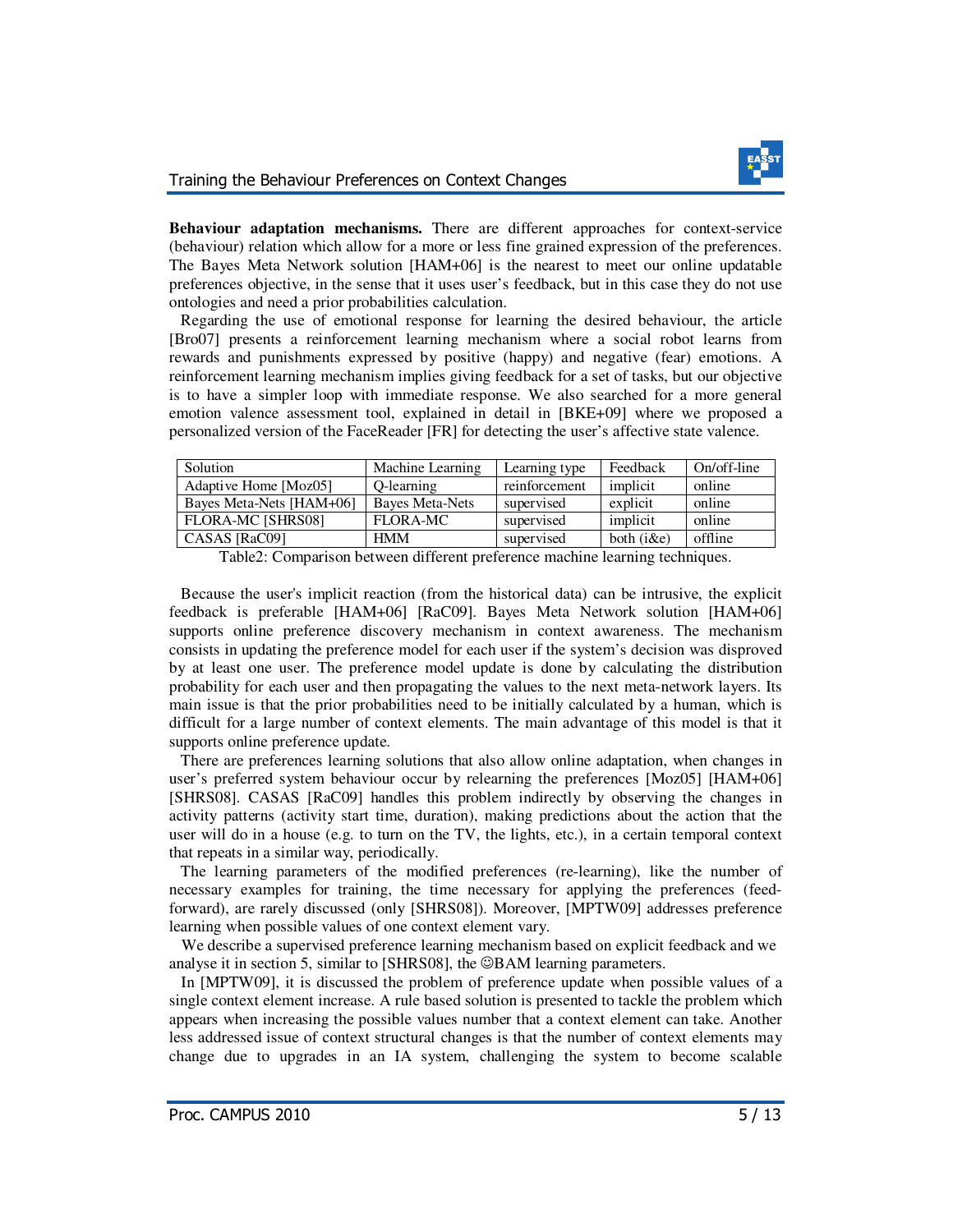

**Behaviour adaptation mechanisms.** There are different approaches for context-service (behaviour) relation which allow for a more or less fine grained expression of the preferences. The Bayes Meta Network solution [HAM+06] is the nearest to meet our online updatable preferences objective, in the sense that it uses user's feedback, but in this case they do not use ontologies and need a prior probabilities calculation.

 Regarding the use of emotional response for learning the desired behaviour, the article [Bro07] presents a reinforcement learning mechanism where a social robot learns from rewards and punishments expressed by positive (happy) and negative (fear) emotions. A reinforcement learning mechanism implies giving feedback for a set of tasks, but our objective is to have a simpler loop with immediate response. We also searched for a more general emotion valence assessment tool, explained in detail in [BKE+09] where we proposed a personalized version of the FaceReader [FR] for detecting the user's affective state valence.

| Solution                 | Machine Learning | Learning type | Feedback     | On/off-line |
|--------------------------|------------------|---------------|--------------|-------------|
| Adaptive Home [Moz05]    | O-learning       | reinforcement | implicit     | online      |
| Bayes Meta-Nets [HAM+06] | Baves Meta-Nets  | supervised    | explicit     | online      |
| <b>FLORA-MC [SHRS08]</b> | FLORA-MC         | supervised    | implicit     | online      |
| CASAS [RaC09]            | <b>HMM</b>       | supervised    | both $(i&e)$ | offline     |

Table2: Comparison between different preference machine learning techniques.

 Because the user's implicit reaction (from the historical data) can be intrusive, the explicit feedback is preferable [HAM+06] [RaC09]. Bayes Meta Network solution [HAM+06] supports online preference discovery mechanism in context awareness. The mechanism consists in updating the preference model for each user if the system's decision was disproved by at least one user. The preference model update is done by calculating the distribution probability for each user and then propagating the values to the next meta-network layers. Its main issue is that the prior probabilities need to be initially calculated by a human, which is difficult for a large number of context elements. The main advantage of this model is that it supports online preference update.

 There are preferences learning solutions that also allow online adaptation, when changes in user's preferred system behaviour occur by relearning the preferences [Moz05] [HAM+06] [SHRS08]. CASAS [RaC09] handles this problem indirectly by observing the changes in activity patterns (activity start time, duration), making predictions about the action that the user will do in a house (e.g. to turn on the TV, the lights, etc.), in a certain temporal context that repeats in a similar way, periodically.

 The learning parameters of the modified preferences (re-learning), like the number of necessary examples for training, the time necessary for applying the preferences (feedforward), are rarely discussed (only [SHRS08]). Moreover, [MPTW09] addresses preference learning when possible values of one context element vary.

 We describe a supervised preference learning mechanism based on explicit feedback and we analyse it in section 5, similar to [SHRS08], the  $\heartsuit$ BAM learning parameters.

 In [MPTW09], it is discussed the problem of preference update when possible values of a single context element increase. A rule based solution is presented to tackle the problem which appears when increasing the possible values number that a context element can take. Another less addressed issue of context structural changes is that the number of context elements may change due to upgrades in an IA system, challenging the system to become scalable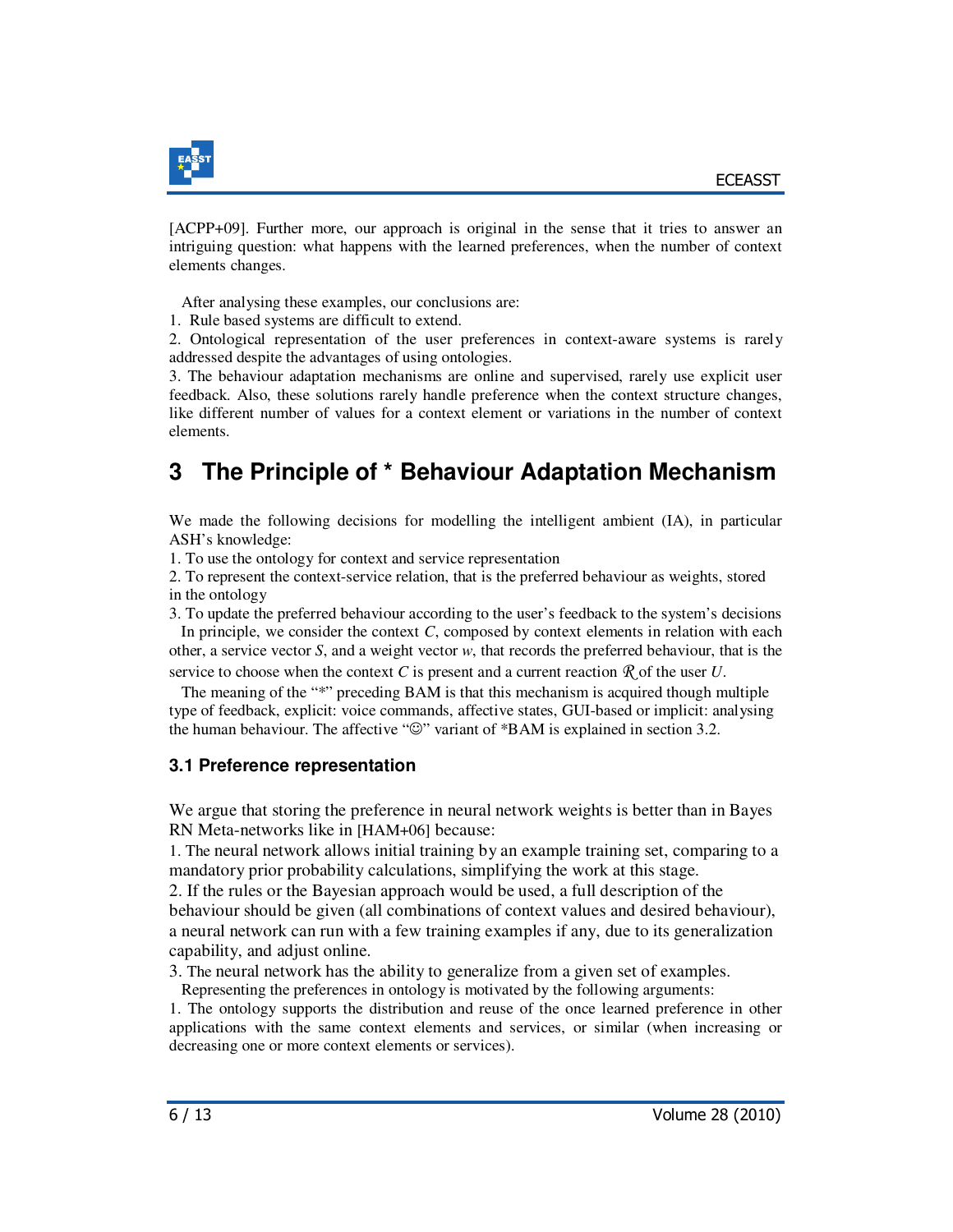

[ACPP+09]. Further more, our approach is original in the sense that it tries to answer an intriguing question: what happens with the learned preferences, when the number of context elements changes.

After analysing these examples, our conclusions are:

1. Rule based systems are difficult to extend.

2. Ontological representation of the user preferences in context-aware systems is rarely addressed despite the advantages of using ontologies.

3. The behaviour adaptation mechanisms are online and supervised, rarely use explicit user feedback. Also, these solutions rarely handle preference when the context structure changes, like different number of values for a context element or variations in the number of context elements.

# **3 The Principle of \* Behaviour Adaptation Mechanism**

We made the following decisions for modelling the intelligent ambient (IA), in particular ASH's knowledge:

1. To use the ontology for context and service representation

2. To represent the context-service relation, that is the preferred behaviour as weights, stored in the ontology

3. To update the preferred behaviour according to the user's feedback to the system's decisions In principle, we consider the context *C*, composed by context elements in relation with each other, a service vector *S*, and a weight vector *w*, that records the preferred behaviour, that is the

service to choose when the context *C* is present and a current reaction  $\mathcal{R}$  of the user *U*.

 The meaning of the "\*" preceding BAM is that this mechanism is acquired though multiple type of feedback, explicit: voice commands, affective states, GUI-based or implicit: analysing the human behaviour. The affective "☺" variant of \*BAM is explained in section 3.2.

### **3.1 Preference representation**

We argue that storing the preference in neural network weights is better than in Bayes RN Meta-networks like in [HAM+06] because:

1. The neural network allows initial training by an example training set, comparing to a mandatory prior probability calculations, simplifying the work at this stage.

2. If the rules or the Bayesian approach would be used, a full description of the

behaviour should be given (all combinations of context values and desired behaviour), a neural network can run with a few training examples if any, due to its generalization capability, and adjust online.

3. The neural network has the ability to generalize from a given set of examples.

Representing the preferences in ontology is motivated by the following arguments:

1. The ontology supports the distribution and reuse of the once learned preference in other applications with the same context elements and services, or similar (when increasing or decreasing one or more context elements or services).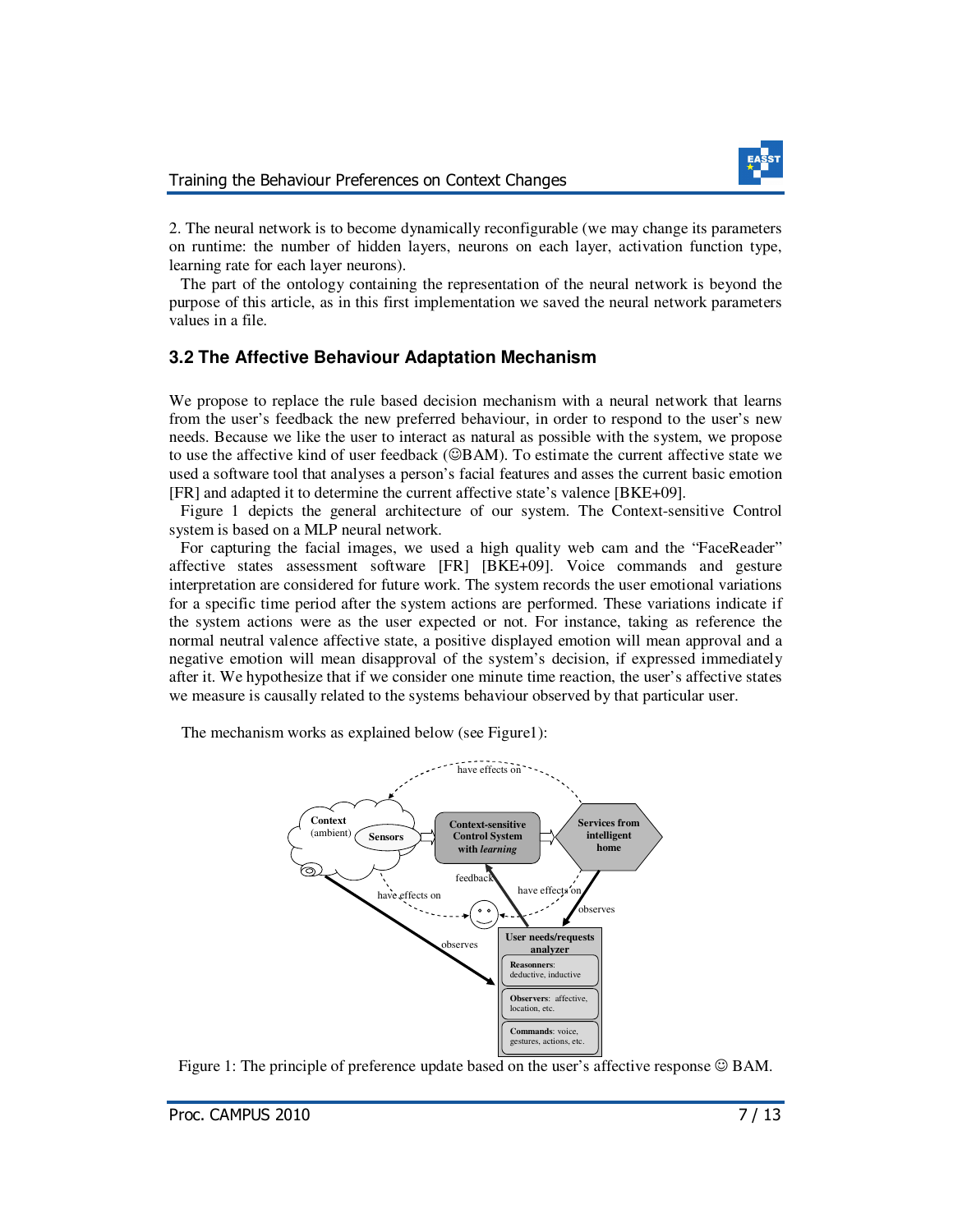2. The neural network is to become dynamically reconfigurable (we may change its parameters on runtime: the number of hidden layers, neurons on each layer, activation function type, learning rate for each layer neurons).

 The part of the ontology containing the representation of the neural network is beyond the purpose of this article, as in this first implementation we saved the neural network parameters values in a file.

### **3.2 The Affective Behaviour Adaptation Mechanism**

We propose to replace the rule based decision mechanism with a neural network that learns from the user's feedback the new preferred behaviour, in order to respond to the user's new needs. Because we like the user to interact as natural as possible with the system, we propose to use the affective kind of user feedback (☺BAM). To estimate the current affective state we used a software tool that analyses a person's facial features and asses the current basic emotion [FR] and adapted it to determine the current affective state's valence [BKE+09].

 Figure 1 depicts the general architecture of our system. The Context-sensitive Control system is based on a MLP neural network.

 For capturing the facial images, we used a high quality web cam and the "FaceReader" affective states assessment software [FR] [BKE+09]. Voice commands and gesture interpretation are considered for future work. The system records the user emotional variations for a specific time period after the system actions are performed. These variations indicate if the system actions were as the user expected or not. For instance, taking as reference the normal neutral valence affective state, a positive displayed emotion will mean approval and a negative emotion will mean disapproval of the system's decision, if expressed immediately after it. We hypothesize that if we consider one minute time reaction, the user's affective states we measure is causally related to the systems behaviour observed by that particular user.

The mechanism works as explained below (see Figure1):



Figure 1: The principle of preference update based on the user's affective response  $\odot$  BAM.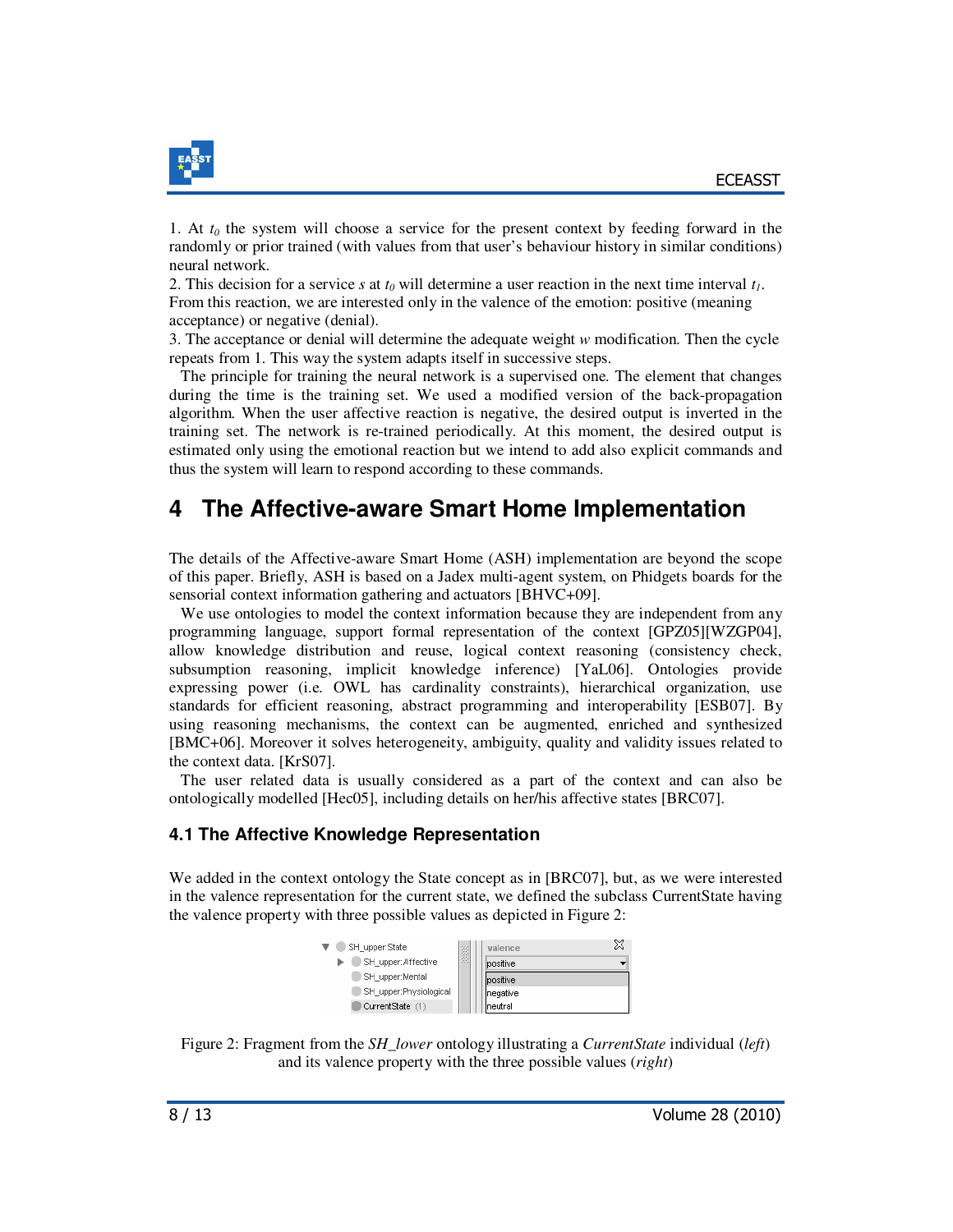

1. At *t0* the system will choose a service for the present context by feeding forward in the randomly or prior trained (with values from that user's behaviour history in similar conditions) neural network.

2. This decision for a service *s* at *t0* will determine a user reaction in the next time interval *t1*. From this reaction, we are interested only in the valence of the emotion: positive (meaning acceptance) or negative (denial).

3. The acceptance or denial will determine the adequate weight *w* modification. Then the cycle repeats from 1. This way the system adapts itself in successive steps.

 The principle for training the neural network is a supervised one. The element that changes during the time is the training set. We used a modified version of the back-propagation algorithm. When the user affective reaction is negative, the desired output is inverted in the training set. The network is re-trained periodically. At this moment, the desired output is estimated only using the emotional reaction but we intend to add also explicit commands and thus the system will learn to respond according to these commands.

# **4 The Affective-aware Smart Home Implementation**

The details of the Affective-aware Smart Home (ASH) implementation are beyond the scope of this paper. Briefly, ASH is based on a Jadex multi-agent system, on Phidgets boards for the sensorial context information gathering and actuators [BHVC+09].

We use ontologies to model the context information because they are independent from any programming language, support formal representation of the context [GPZ05][WZGP04], allow knowledge distribution and reuse, logical context reasoning (consistency check, subsumption reasoning, implicit knowledge inference) [YaL06]. Ontologies provide expressing power (i.e. OWL has cardinality constraints), hierarchical organization, use standards for efficient reasoning, abstract programming and interoperability [ESB07]. By using reasoning mechanisms, the context can be augmented, enriched and synthesized [BMC+06]. Moreover it solves heterogeneity, ambiguity, quality and validity issues related to the context data. [KrS07].

 The user related data is usually considered as a part of the context and can also be ontologically modelled [Hec05], including details on her/his affective states [BRC07].

### **4.1 The Affective Knowledge Representation**

We added in the context ontology the State concept as in [BRC07], but, as we were interested in the valence representation for the current state, we defined the subclass CurrentState having the valence property with three possible values as depicted in Figure 2:

| SH_upper:State         | 箋 | valence   | X |
|------------------------|---|-----------|---|
| SH_upper:Affective     |   | positive  |   |
| SH upper:Mental        |   | positive  |   |
| SH_upper:Physiological |   | Inegative |   |
| CurrentState (1)       |   | Ineutral  |   |

Figure 2: Fragment from the *SH\_lower* ontology illustrating a *CurrentState* individual (*left*) and its valence property with the three possible values (*right*)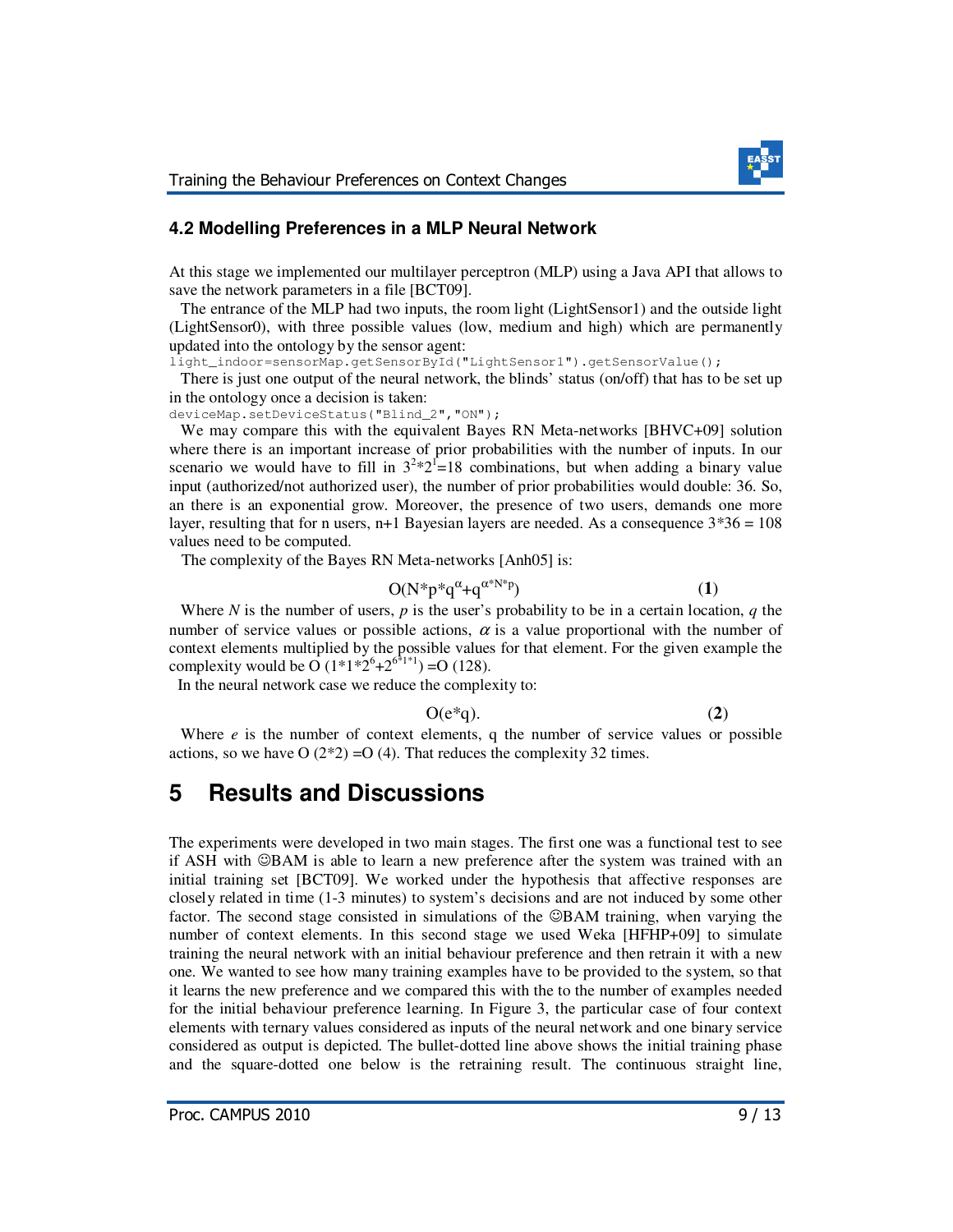

### **4.2 Modelling Preferences in a MLP Neural Network**

At this stage we implemented our multilayer perceptron (MLP) using a Java API that allows to save the network parameters in a file [BCT09].

 The entrance of the MLP had two inputs, the room light (LightSensor1) and the outside light (LightSensor0), with three possible values (low, medium and high) which are permanently updated into the ontology by the sensor agent:

light\_indoor=sensorMap.getSensorById("LightSensor1").getSensorValue();

 There is just one output of the neural network, the blinds' status (on/off) that has to be set up in the ontology once a decision is taken:

deviceMap.setDeviceStatus("Blind\_2","ON");

We may compare this with the equivalent Bayes RN Meta-networks [BHVC+09] solution where there is an important increase of prior probabilities with the number of inputs. In our scenario we would have to fill in  $3^{2} \times 2^{1} = 18$  combinations, but when adding a binary value input (authorized/not authorized user), the number of prior probabilities would double: 36. So, an there is an exponential grow. Moreover, the presence of two users, demands one more layer, resulting that for n users,  $n+1$  Bayesian layers are needed. As a consequence  $3*36 = 108$ values need to be computed.

The complexity of the Bayes RN Meta-networks [Anh05] is:

$$
O(N^*p^*q^{\alpha} + q^{\alpha^*N^*p})
$$
 (1)

 Where *N* is the number of users, *p* is the user's probability to be in a certain location, *q* the number of service values or possible actions,  $\alpha$  is a value proportional with the number of context elements multiplied by the possible values for that element. For the given example the complexity would be O  $(1^*1^*2^6 + 2^{6^*1^*1}) = O(128)$ .

In the neural network case we reduce the complexity to:

$$
O(e^*q). \tag{2}
$$

Where *e* is the number of context elements, q the number of service values or possible actions, so we have  $O(2^*2) = O(4)$ . That reduces the complexity 32 times.

## **5 Results and Discussions**

The experiments were developed in two main stages. The first one was a functional test to see if ASH with ☺BAM is able to learn a new preference after the system was trained with an initial training set [BCT09]. We worked under the hypothesis that affective responses are closely related in time (1-3 minutes) to system's decisions and are not induced by some other factor. The second stage consisted in simulations of the ©BAM training, when varying the number of context elements. In this second stage we used Weka [HFHP+09] to simulate training the neural network with an initial behaviour preference and then retrain it with a new one. We wanted to see how many training examples have to be provided to the system, so that it learns the new preference and we compared this with the to the number of examples needed for the initial behaviour preference learning. In Figure 3, the particular case of four context elements with ternary values considered as inputs of the neural network and one binary service considered as output is depicted. The bullet-dotted line above shows the initial training phase and the square-dotted one below is the retraining result. The continuous straight line,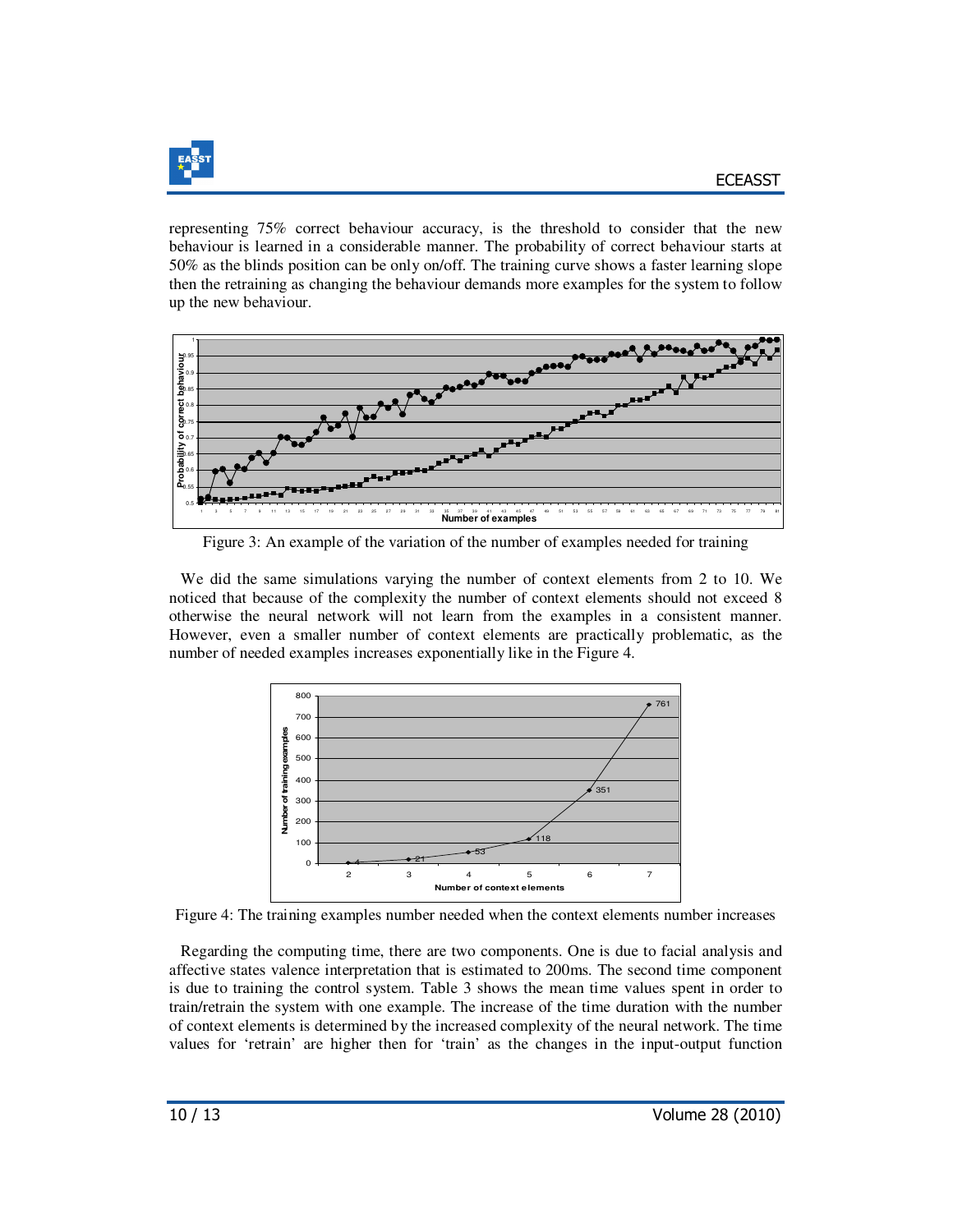

representing 75% correct behaviour accuracy, is the threshold to consider that the new behaviour is learned in a considerable manner. The probability of correct behaviour starts at 50% as the blinds position can be only on/off. The training curve shows a faster learning slope then the retraining as changing the behaviour demands more examples for the system to follow up the new behaviour.



Figure 3: An example of the variation of the number of examples needed for training

 We did the same simulations varying the number of context elements from 2 to 10. We noticed that because of the complexity the number of context elements should not exceed 8 otherwise the neural network will not learn from the examples in a consistent manner. However, even a smaller number of context elements are practically problematic, as the number of needed examples increases exponentially like in the Figure 4.



Figure 4: The training examples number needed when the context elements number increases

 Regarding the computing time, there are two components. One is due to facial analysis and affective states valence interpretation that is estimated to 200ms. The second time component is due to training the control system. Table 3 shows the mean time values spent in order to train/retrain the system with one example. The increase of the time duration with the number of context elements is determined by the increased complexity of the neural network. The time values for 'retrain' are higher then for 'train' as the changes in the input-output function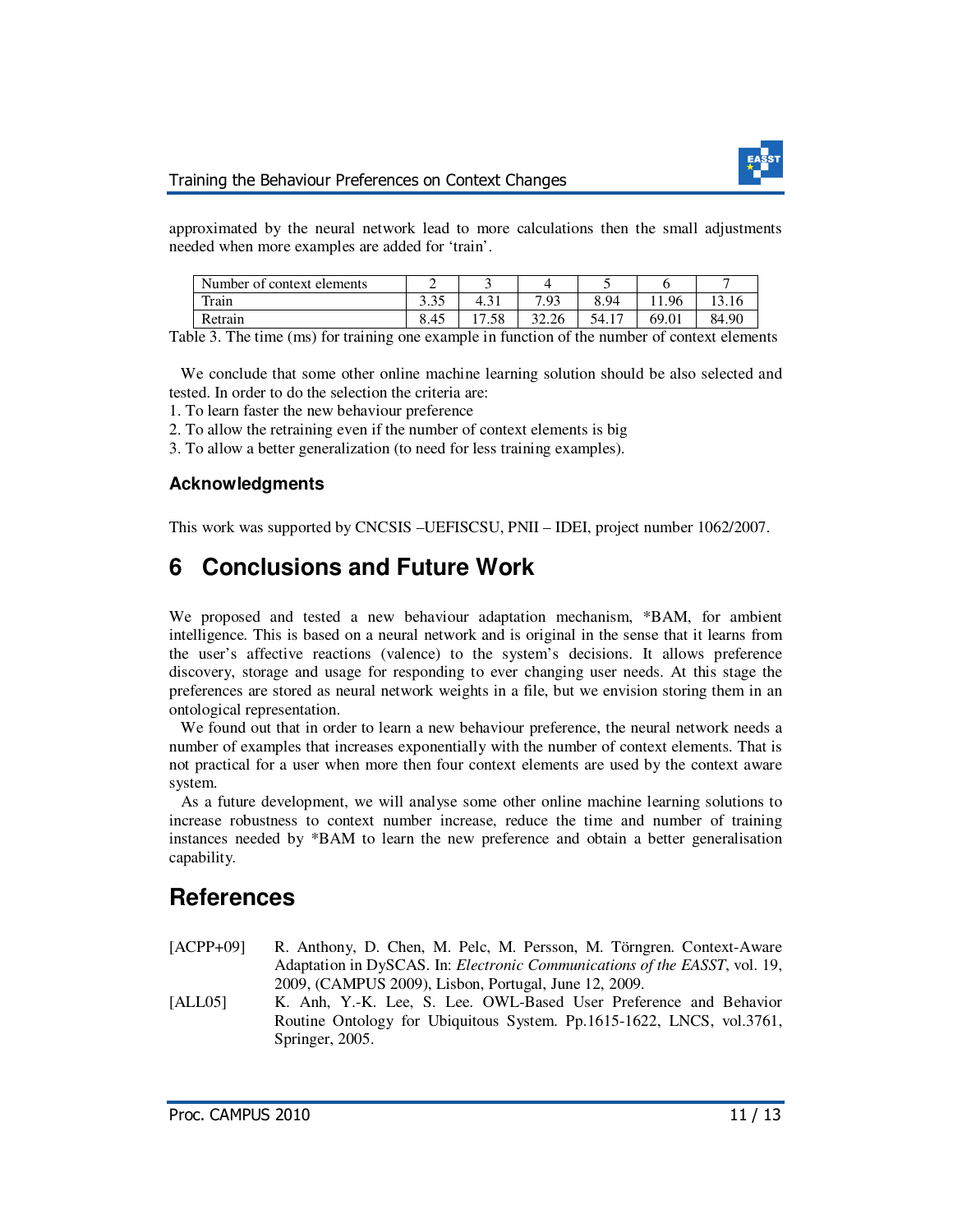

approximated by the neural network lead to more calculations then the small adjustments needed when more examples are added for 'train'.

| Number of context elements |                                 |      |       | -               |      | -     |
|----------------------------|---------------------------------|------|-------|-----------------|------|-------|
| Train                      | $\Omega$ $\Gamma$<br>⌒<br>ن ن ر | 4.91 | 7.93  | 8.94            | 1.96 | 13.1  |
| Retrain                    | 8.45                            | '.58 | 32.26 | 54.1′<br>$\sim$ |      | 84.90 |

Table 3. The time (ms) for training one example in function of the number of context elements

 We conclude that some other online machine learning solution should be also selected and tested. In order to do the selection the criteria are:

1. To learn faster the new behaviour preference

2. To allow the retraining even if the number of context elements is big

3. To allow a better generalization (to need for less training examples).

### **Acknowledgments**

This work was supported by CNCSIS –UEFISCSU, PNII – IDEI, project number 1062/2007.

# **6 Conclusions and Future Work**

We proposed and tested a new behaviour adaptation mechanism, \*BAM, for ambient intelligence. This is based on a neural network and is original in the sense that it learns from the user's affective reactions (valence) to the system's decisions. It allows preference discovery, storage and usage for responding to ever changing user needs. At this stage the preferences are stored as neural network weights in a file, but we envision storing them in an ontological representation.

 We found out that in order to learn a new behaviour preference, the neural network needs a number of examples that increases exponentially with the number of context elements. That is not practical for a user when more then four context elements are used by the context aware system.

 As a future development, we will analyse some other online machine learning solutions to increase robustness to context number increase, reduce the time and number of training instances needed by \*BAM to learn the new preference and obtain a better generalisation capability.

# **References**

- [ACPP+09] R. Anthony, D. Chen, M. Pelc, M. Persson, M. Törngren. Context-Aware Adaptation in DySCAS. In: *Electronic Communications of the EASST*, vol. 19, 2009, (CAMPUS 2009), Lisbon, Portugal, June 12, 2009.
- [ALL05] K. Anh, Y.-K. Lee, S. Lee. OWL-Based User Preference and Behavior Routine Ontology for Ubiquitous System. Pp.1615-1622, LNCS, vol.3761, Springer, 2005.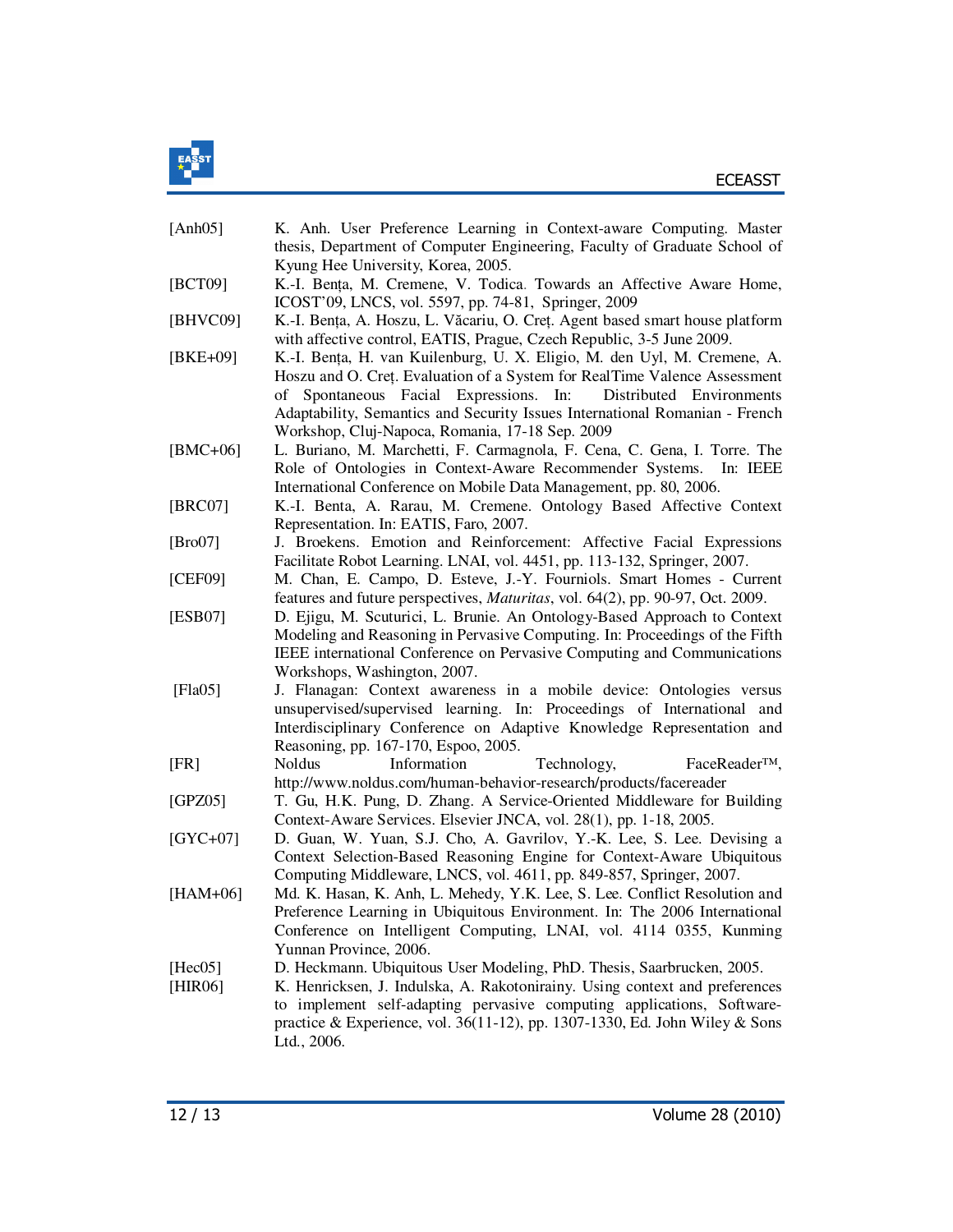

| [Anh05]            | K. Anh. User Preference Learning in Context-aware Computing. Master<br>thesis, Department of Computer Engineering, Faculty of Graduate School of<br>Kyung Hee University, Korea, 2005.                                                                                                                                                                           |
|--------------------|------------------------------------------------------------------------------------------------------------------------------------------------------------------------------------------------------------------------------------------------------------------------------------------------------------------------------------------------------------------|
| [BCT09]            | K.-I. Bența, M. Cremene, V. Todica. Towards an Affective Aware Home,<br>ICOST'09, LNCS, vol. 5597, pp. 74-81, Springer, 2009                                                                                                                                                                                                                                     |
| [BHVC09]           | K.-I. Bența, A. Hoszu, L. Văcariu, O. Creț. Agent based smart house platform<br>with affective control, EATIS, Prague, Czech Republic, 3-5 June 2009.                                                                                                                                                                                                            |
| $[BKE+09]$         | K.-I. Bența, H. van Kuilenburg, U. X. Eligio, M. den Uyl, M. Cremene, A.<br>Hoszu and O. Cret. Evaluation of a System for RealTime Valence Assessment<br>Spontaneous Facial Expressions. In:<br>Distributed Environments<br>of<br>Adaptability, Semantics and Security Issues International Romanian - French<br>Workshop, Cluj-Napoca, Romania, 17-18 Sep. 2009 |
| $[BMC+06]$         | L. Buriano, M. Marchetti, F. Carmagnola, F. Cena, C. Gena, I. Torre. The<br>Role of Ontologies in Context-Aware Recommender Systems. In: IEEE<br>International Conference on Mobile Data Management, pp. 80, 2006.                                                                                                                                               |
| [BRC07]            | K.-I. Benta, A. Rarau, M. Cremene. Ontology Based Affective Context<br>Representation. In: EATIS, Faro, 2007.                                                                                                                                                                                                                                                    |
| [Bro07]            | J. Broekens. Emotion and Reinforcement: Affective Facial Expressions<br>Facilitate Robot Learning. LNAI, vol. 4451, pp. 113-132, Springer, 2007.                                                                                                                                                                                                                 |
| [CEF09]            | M. Chan, E. Campo, D. Esteve, J.-Y. Fourniols. Smart Homes - Current<br>features and future perspectives, <i>Maturitas</i> , vol. 64(2), pp. 90-97, Oct. 2009.                                                                                                                                                                                                   |
| [ESB07]            | D. Ejigu, M. Scuturici, L. Brunie. An Ontology-Based Approach to Context<br>Modeling and Reasoning in Pervasive Computing. In: Proceedings of the Fifth<br>IEEE international Conference on Pervasive Computing and Communications<br>Workshops, Washington, 2007.                                                                                               |
| [ $Fla05$ ]        | J. Flanagan: Context awareness in a mobile device: Ontologies versus<br>unsupervised/supervised learning. In: Proceedings of International and<br>Interdisciplinary Conference on Adaptive Knowledge Representation and<br>Reasoning, pp. 167-170, Espoo, 2005.                                                                                                  |
| [FR]               | Information<br>Technology,<br>FaceReader <sup>™</sup> ,<br>Noldus<br>http://www.noldus.com/human-behavior-research/products/facereader                                                                                                                                                                                                                           |
| [GPZ05]            | T. Gu, H.K. Pung, D. Zhang. A Service-Oriented Middleware for Building<br>Context-Aware Services. Elsevier JNCA, vol. 28(1), pp. 1-18, 2005.                                                                                                                                                                                                                     |
| $[GYC+07]$         | D. Guan, W. Yuan, S.J. Cho, A. Gavrilov, Y.-K. Lee, S. Lee. Devising a<br>Context Selection-Based Reasoning Engine for Context-Aware Ubiquitous<br>Computing Middleware, LNCS, vol. 4611, pp. 849-857, Springer, 2007.                                                                                                                                           |
| $[HAM+06]$         | Md. K. Hasan, K. Anh, L. Mehedy, Y.K. Lee, S. Lee. Conflict Resolution and<br>Preference Learning in Ubiquitous Environment. In: The 2006 International<br>Conference on Intelligent Computing, LNAI, vol. 4114 0355, Kunming<br>Yunnan Province, 2006.                                                                                                          |
| [Hec05]<br>[HIR06] | D. Heckmann. Ubiquitous User Modeling, PhD. Thesis, Saarbrucken, 2005.<br>K. Henricksen, J. Indulska, A. Rakotonirainy. Using context and preferences<br>to implement self-adapting pervasive computing applications, Software-<br>practice & Experience, vol. 36(11-12), pp. 1307-1330, Ed. John Wiley & Sons<br>Ltd., 2006.                                    |